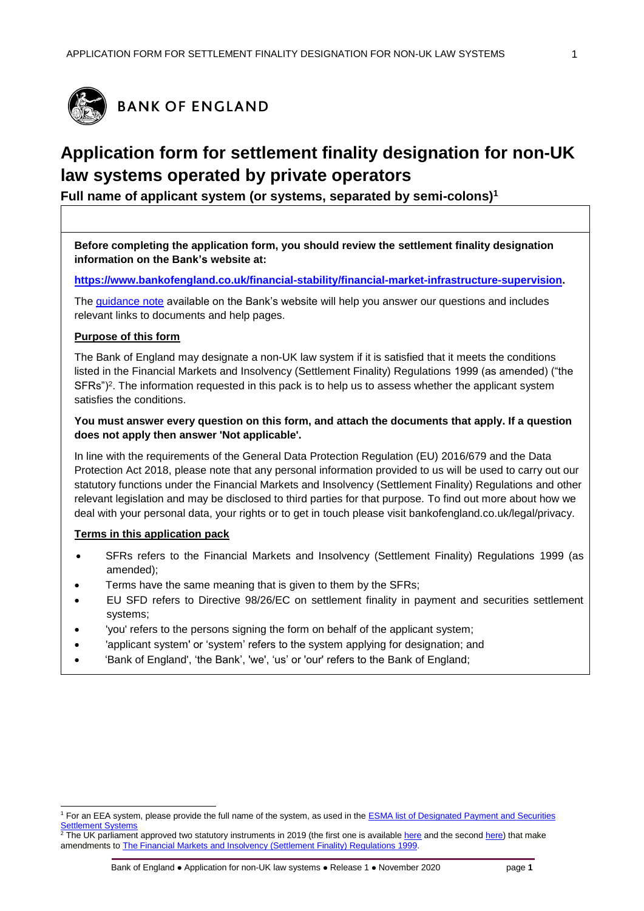

# **Application form for settlement finality designation for non-UK law systems operated by private operators**

**Full name of applicant system (or systems, separated by semi-colons)<sup>1</sup>**

**Before completing the application form, you should review the settlement finality designation information on the Bank's website at:**

**[https://www.bankofengland.co.uk/financial-stability/financial-market-infrastructure-supervision.](https://www.bankofengland.co.uk/financial-stability/financial-market-infrastructure-supervision)**

The [guidance note](https://www.bankofengland.co.uk/-/media/boe/files/financial-stability/financial-market-infrastructure-supervision/application-guidance-sfd-private-systems) available on the Bank's website will help you answer our questions and includes relevant links to documents and help pages.

#### **Purpose of this form**

The Bank of England may designate a non-UK law system if it is satisfied that it meets the conditions listed in the Financial Markets and Insolvency (Settlement Finality) Regulations 1999 (as amended) ("the SFRs")<sup>2</sup>. The information requested in this pack is to help us to assess whether the applicant system satisfies the conditions.

## **You must answer every question on this form, and attach the documents that apply. If a question does not apply then answer 'Not applicable'.**

In line with the requirements of the General Data Protection Regulation (EU) 2016/679 and the Data Protection Act 2018, please note that any personal information provided to us will be used to carry out our statutory functions under the Financial Markets and Insolvency (Settlement Finality) Regulations and other relevant legislation and may be disclosed to third parties for that purpose. To find out more about how we deal with your personal data, your rights or to get in touch please visit bankofengland.co.uk/legal/privacy.

#### **Terms in this application pack**

- SFRs refers to the Financial Markets and Insolvency (Settlement Finality) Regulations 1999 (as amended);
- Terms have the same meaning that is given to them by the SFRs;
- EU SFD refers to Directive 98/26/EC on settlement finality in payment and securities settlement systems;
- 'you' refers to the persons signing the form on behalf of the applicant system;
- 'applicant system' or 'system' refers to the system applying for designation; and
- 'Bank of England', 'the Bank', 'we', 'us' or 'our' refers to the Bank of England;

l <sup>1</sup> For an EEA system, please provide the full name of the system, as used in th[e ESMA list of Designated Payment and Securities](https://www.esma.europa.eu/sites/default/files/library/designated_payment_and_securities_settlement_systems.pdf)  **Settlement System** 

 $2$ The UK parliament approved two statutory instruments in 2019 (the first one is availabl[e here](http://www.legislation.gov.uk/uksi/2019/341/made) and the second [here\)](http://www.legislation.gov.uk/uksi/2019/710/regulation/20/made) that make amendments t[o The Financial Markets and Insolvency \(Settlement Finality\) Regulations 1999.](https://www.legislation.gov.uk/uksi/1999/2979/contents/made)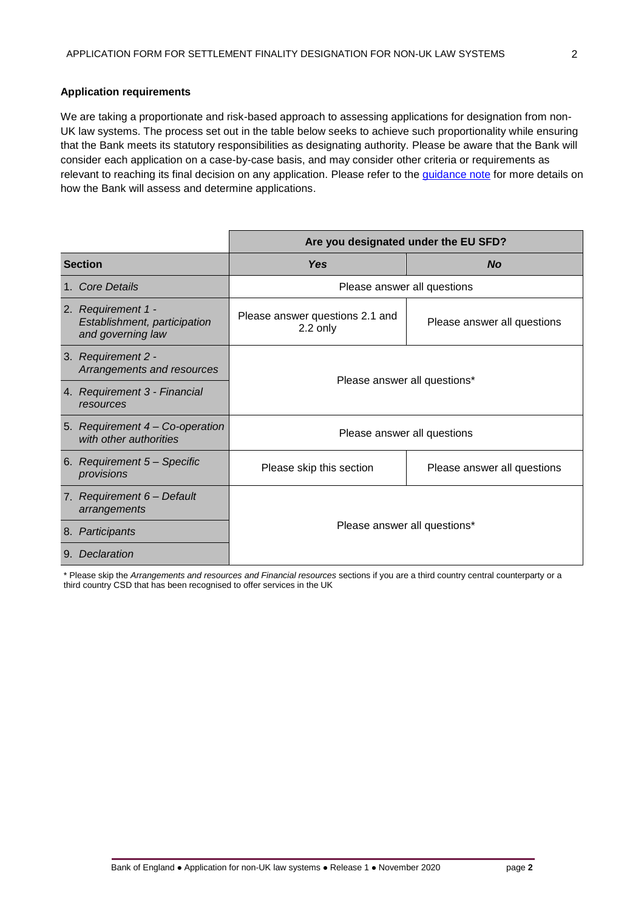## **Application requirements**

We are taking a proportionate and risk-based approach to assessing applications for designation from non-UK law systems. The process set out in the table below seeks to achieve such proportionality while ensuring that the Bank meets its statutory responsibilities as designating authority. Please be aware that the Bank will consider each application on a case-by-case basis, and may consider other criteria or requirements as relevant to reaching its final decision on any application. Please refer to the [guidance note](https://www.bankofengland.co.uk/-/media/boe/files/financial-stability/financial-market-infrastructure-supervision/application-guidance-sfd-private-systems) for more details on how the Bank will assess and determine applications.

|                                                                         | Are you designated under the EU SFD?        |                             |  |
|-------------------------------------------------------------------------|---------------------------------------------|-----------------------------|--|
| <b>Section</b>                                                          | <b>Yes</b>                                  | <b>No</b>                   |  |
| <b>Core Details</b><br>1.                                               | Please answer all questions                 |                             |  |
| 2. Requirement 1 -<br>Establishment, participation<br>and governing law | Please answer questions 2.1 and<br>2.2 only | Please answer all questions |  |
| 3. Requirement 2 -<br>Arrangements and resources                        | Please answer all questions*                |                             |  |
| 4. Requirement 3 - Financial<br>resources                               |                                             |                             |  |
| 5. Requirement 4 – Co-operation<br>with other authorities               | Please answer all questions                 |                             |  |
| 6. Requirement 5 - Specific<br>provisions                               | Please skip this section                    | Please answer all questions |  |
| 7. Requirement 6 - Default<br>arrangements                              | Please answer all questions*                |                             |  |
| 8. Participants                                                         |                                             |                             |  |
| Declaration<br>9.                                                       |                                             |                             |  |

\* Please skip the *Arrangements and resources and Financial resources* sections if you are a third country central counterparty or a third country CSD that has been recognised to offer services in the UK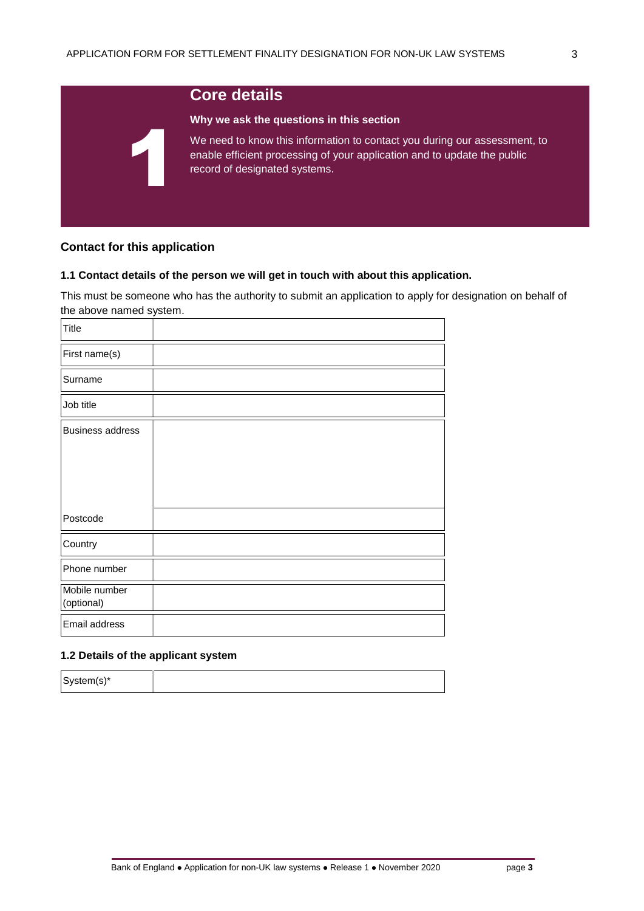# 1

# **Core details**

#### **Why we ask the questions in this section**

We need to know this information to contact you during our assessment, to enable efficient processing of your application and to update the public record of designated systems.

# **Contact for this application**

## **1.1 Contact details of the person we will get in touch with about this application.**

This must be someone who has the authority to submit an application to apply for designation on behalf of the above named system.

| <b>Title</b>                |  |
|-----------------------------|--|
| First name(s)               |  |
| Surname                     |  |
| Job title                   |  |
| <b>Business address</b>     |  |
| Postcode                    |  |
| Country                     |  |
| Phone number                |  |
| Mobile number<br>(optional) |  |
| Email address               |  |

## **1.2 Details of the applicant system**

System(s)\*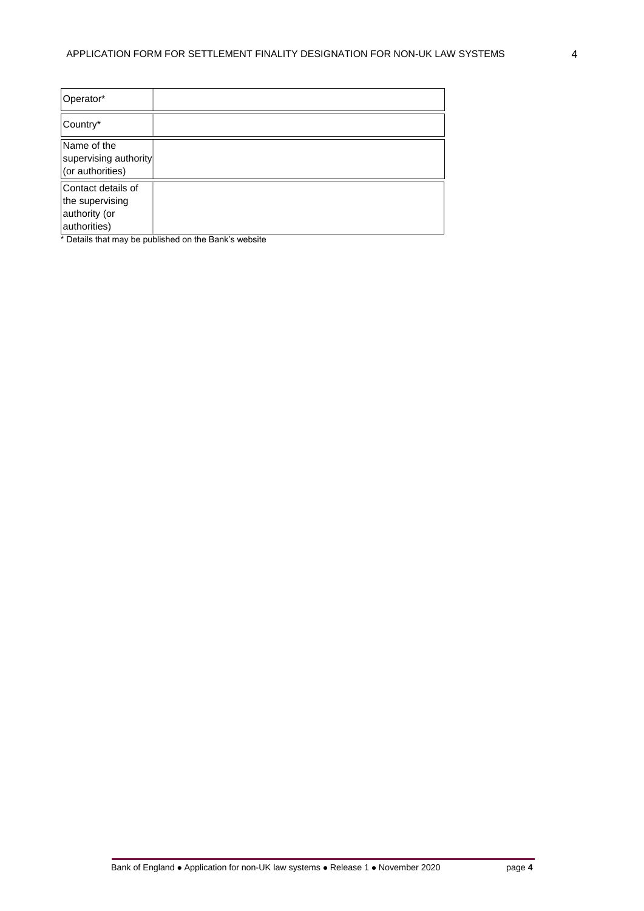| Operator*                                                              |                                                                                                                                               |
|------------------------------------------------------------------------|-----------------------------------------------------------------------------------------------------------------------------------------------|
| Country*                                                               |                                                                                                                                               |
| Name of the<br>supervising authority<br>(or authorities)               |                                                                                                                                               |
| Contact details of<br>the supervising<br>authority (or<br>authorities) | $\bullet$ $\blacksquare$ . And the additional contribution of the later of the state $\blacksquare$ . $\blacksquare$ . The state of the state |

Details that may be published on the Bank's website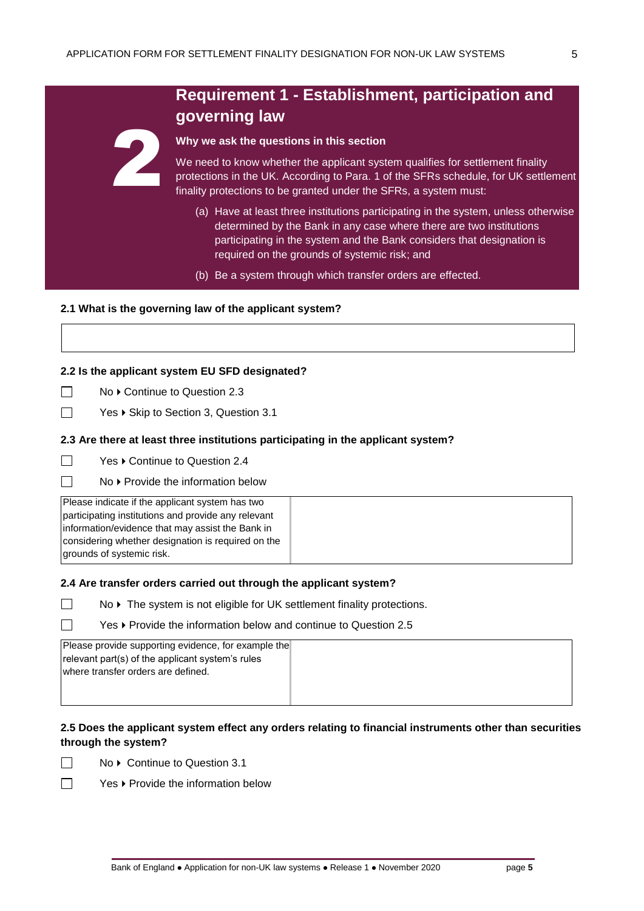# **Requirement 1 - Establishment, participation and governing law**

#### **Why we ask the questions in this section**

We need to know whether the applicant system qualifies for settlement finality protections in the UK. According to Para. 1 of the SFRs schedule, for UK settlement finality protections to be granted under the SFRs, a system must:

- (a) Have at least three institutions participating in the system, unless otherwise determined by the Bank in any case where there are two institutions participating in the system and the Bank considers that designation is required on the grounds of systemic risk; and
- (b) Be a system through which transfer orders are effected.

#### **2.1 What is the governing law of the applicant system?**

#### **2.2 Is the applicant system EU SFD designated?**

 $\Box$ No ▶ Continue to Question 2.3

2

 $\Box$ Yes ▶ Skip to Section 3, Question 3.1

#### **2.3 Are there at least three institutions participating in the applicant system?**

 $\Box$ Yes ▶ Continue to Question 2.4

No ▶ Provide the information below

| Please indicate if the applicant system has two     |  |
|-----------------------------------------------------|--|
| participating institutions and provide any relevant |  |
| information/evidence that may assist the Bank in    |  |
| considering whether designation is required on the  |  |
| grounds of systemic risk.                           |  |

## **2.4 Are transfer orders carried out through the applicant system?**

- No ▶ The system is not eligible for UK settlement finality protections.
	- Yes  $\blacktriangleright$  Provide the information below and continue to Question 2.5

| Please provide supporting evidence, for example the |  |
|-----------------------------------------------------|--|
| relevant part(s) of the applicant system's rules    |  |
| Iwhere transfer orders are defined.                 |  |
|                                                     |  |
|                                                     |  |

## **2.5 Does the applicant system effect any orders relating to financial instruments other than securities through the system?**

No ▶ Continue to Question 3.1



 $\Box$ 

П  $\Box$ 

Yes ▶ Provide the information below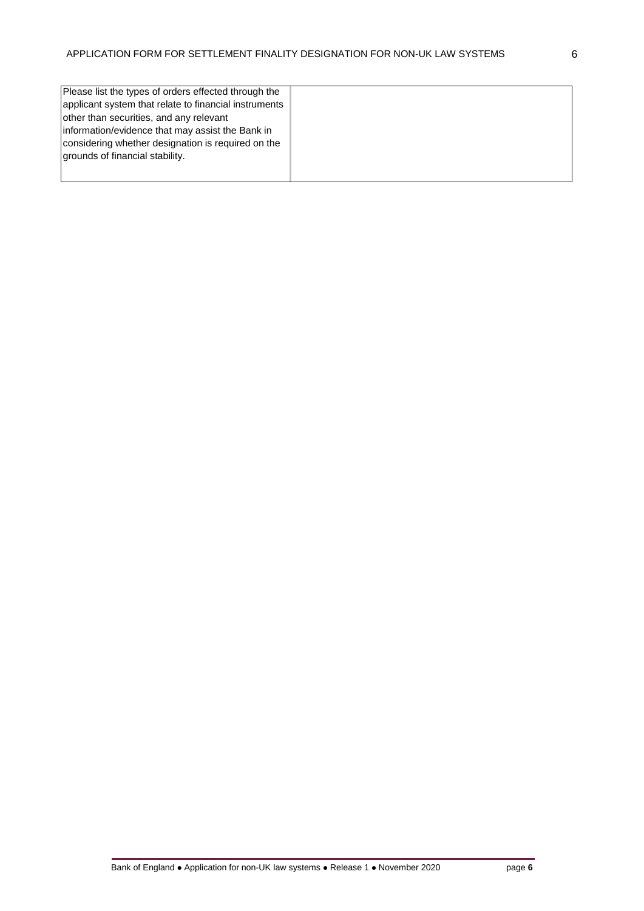| Please list the types of orders effected through the  |  |
|-------------------------------------------------------|--|
| applicant system that relate to financial instruments |  |
| other than securities, and any relevant               |  |
| Information/evidence that may assist the Bank in      |  |
| considering whether designation is required on the    |  |
| grounds of financial stability.                       |  |
|                                                       |  |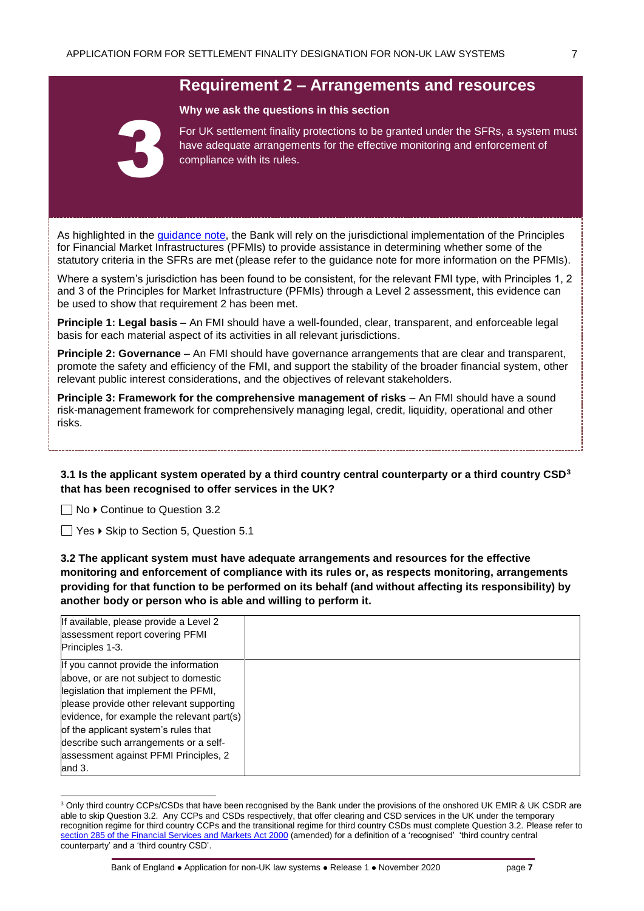# **Requirement 2 – Arrangements and resources**

#### **Why we ask the questions in this section**



For UK settlement finality protections to be granted under the SFRs, a system must have adequate arrangements for the effective monitoring and enforcement of compliance with its rules.

As highlighted in the [guidance note,](https://www.bankofengland.co.uk/-/media/boe/files/financial-stability/financial-market-infrastructure-supervision/application-guidance-sfd-private-systems) the Bank will rely on the jurisdictional implementation of the [Principles](https://www.bis.org/cpmi/info_pfmi.htm)  [for Financial Market Infrastructures](https://www.bis.org/cpmi/info_pfmi.htm) (PFMIs) to provide assistance in determining whether some of the statutory criteria in the SFRs are met (please refer to the guidance note for more information on the PFMIs).

Where a system's jurisdiction has been found to be consistent, for the relevant FMI type, with Principles 1, 2 and 3 of the Principles for Market Infrastructure (PFMIs) through a Level 2 assessment, this evidence can be used to show that requirement 2 has been met.

**Principle 1: Legal basis** – An FMI should have a well-founded, clear, transparent, and enforceable legal basis for each material aspect of its activities in all relevant jurisdictions.

**Principle 2: Governance** – An FMI should have governance arrangements that are clear and transparent, promote the safety and efficiency of the FMI, and support the stability of the broader financial system, other relevant public interest considerations, and the objectives of relevant stakeholders.

**Principle 3: Framework for the comprehensive management of risks** – An FMI should have a sound risk-management framework for comprehensively managing legal, credit, liquidity, operational and other risks.

**3.1 Is the applicant system operated by a third country central counterparty or a third country CSD<sup>3</sup> that has been recognised to offer services in the UK?** 

 $\Box$  No  $\triangleright$  Continue to Question 3.2

l

 $\Box$  Yes  $\blacktriangleright$  Skip to Section 5, Question 5.1

**3.2 The applicant system must have adequate arrangements and resources for the effective monitoring and enforcement of compliance with its rules or, as respects monitoring, arrangements providing for that function to be performed on its behalf (and without affecting its responsibility) by another body or person who is able and willing to perform it.**

| If available, please provide a Level 2<br>assessment report covering PFMI<br>Principles 1-3. |  |
|----------------------------------------------------------------------------------------------|--|
| If you cannot provide the information<br>above, or are not subject to domestic               |  |
| legislation that implement the PFMI,                                                         |  |
| please provide other relevant supporting<br>evidence, for example the relevant part(s)       |  |
| of the applicant system's rules that                                                         |  |
| describe such arrangements or a self-                                                        |  |
| assessment against PFMI Principles, 2<br>and $3.$                                            |  |

<sup>&</sup>lt;sup>3</sup> Only third country CCPs/CSDs that have been recognised by the Bank under the provisions of the onshored UK EMIR & UK CSDR are able to skip Question 3.2. Any CCPs and CSDs respectively, that offer clearing and CSD services in the UK under the temporary recognition regime for third country CCPs and the transitional regime for third country CSDs must complete Question 3.2. Please refer to [section 285 of the Financial Services and Markets Act 2000](https://www.legislation.gov.uk/ukpga/2000/8/section/285) (amended) for a definition of a 'recognised' 'third country central counterparty' and a 'third country CSD'.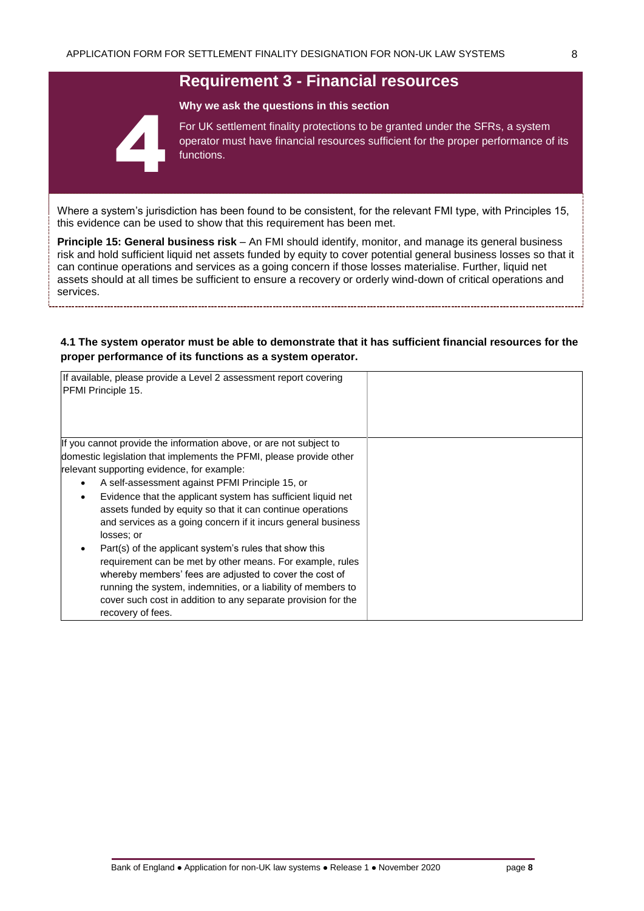# **Requirement 3 - Financial resources**



**Why we ask the questions in this section**

For UK settlement finality protections to be granted under the SFRs, a system operator must have financial resources sufficient for the proper performance of its functions.

Where a system's jurisdiction has been found to be consistent, for the relevant FMI type, with Principles 15, this evidence can be used to show that this requirement has been met.

**Principle 15: General business risk** – An FMI should identify, monitor, and manage its general business risk and hold sufficient liquid net assets funded by equity to cover potential general business losses so that it can continue operations and services as a going concern if those losses materialise. Further, liquid net assets should at all times be sufficient to ensure a recovery or orderly wind-down of critical operations and services.

#### **4.1 The system operator must be able to demonstrate that it has sufficient financial resources for the proper performance of its functions as a system operator.**

| If available, please provide a Level 2 assessment report covering<br>PFMI Principle 15. |  |
|-----------------------------------------------------------------------------------------|--|
| If you cannot provide the information above, or are not subject to                      |  |
| domestic legislation that implements the PFMI, please provide other                     |  |
| relevant supporting evidence, for example:                                              |  |
| A self-assessment against PFMI Principle 15, or<br>$\bullet$                            |  |
| Evidence that the applicant system has sufficient liquid net<br>$\bullet$               |  |
| assets funded by equity so that it can continue operations                              |  |
| and services as a going concern if it incurs general business                           |  |
| losses; or                                                                              |  |
| Part(s) of the applicant system's rules that show this                                  |  |
| requirement can be met by other means. For example, rules                               |  |
| whereby members' fees are adjusted to cover the cost of                                 |  |
| running the system, indemnities, or a liability of members to                           |  |
| cover such cost in addition to any separate provision for the                           |  |
| recovery of fees.                                                                       |  |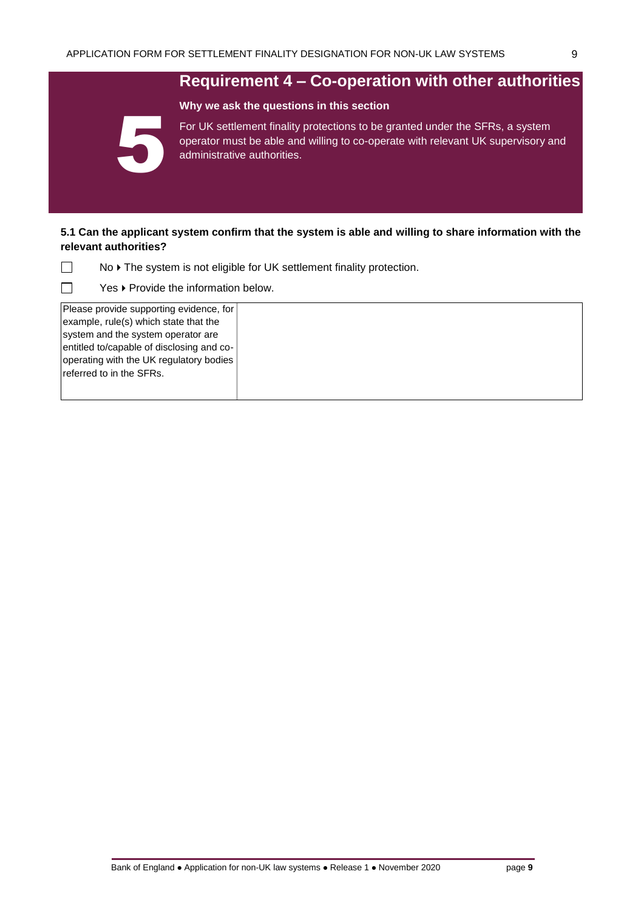**Why we ask the questions in this section**

# **Requirement 4 – Co-operation with other authorities**



For UK settlement finality protections to be granted under the SFRs, a system operator must be able and willing to co-operate with relevant UK supervisory and administrative authorities.

#### **5.1 Can the applicant system confirm that the system is able and willing to share information with the relevant authorities?**

No ▶ The system is not eligible for UK settlement finality protection.

Yes  $\blacktriangleright$  Provide the information below.

Please provide supporting evidence, for example, rule(s) which state that the system and the system operator are entitled to/capable of disclosing and cooperating with the UK regulatory bodies referred to in the SFRs.

 $\Box$  $\Box$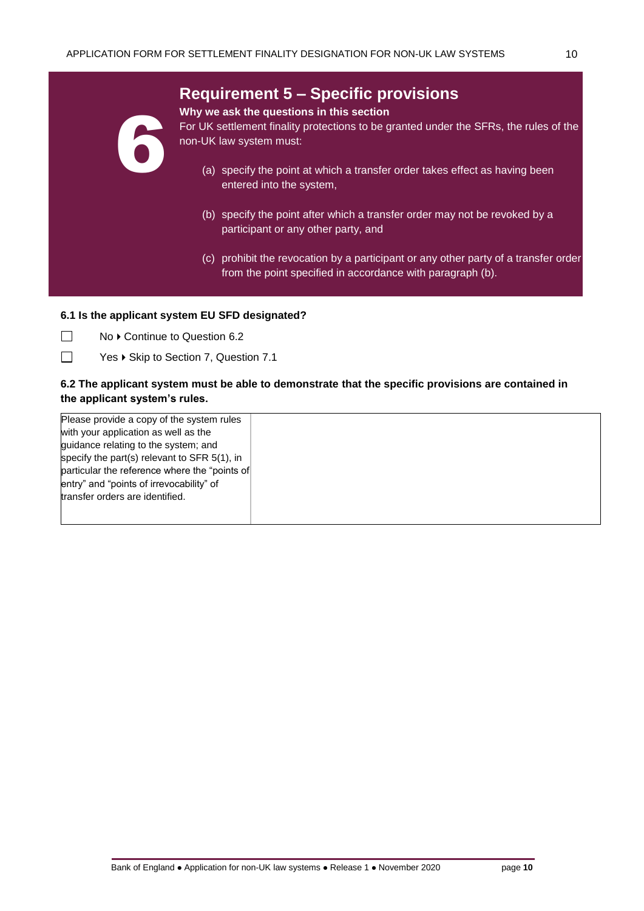# **Requirement 5 – Specific provisions**



#### **Why we ask the questions in this section**

For UK settlement finality protections to be granted under the SFRs, the rules of the non-UK law system must:

- (a) specify the point at which a transfer order takes effect as having been entered into the system,
- (b) specify the point after which a transfer order may not be revoked by a participant or any other party, and
- (c) prohibit the revocation by a participant or any other party of a transfer order from the point specified in accordance with paragraph (b).

## **6.1 Is the applicant system EU SFD designated?**

 $\Box$ No ▶ Continue to Question 6.2

 $\Box$ Yes ▶ Skip to Section 7, Question 7.1

## **6.2 The applicant system must be able to demonstrate that the specific provisions are contained in the applicant system's rules.**

Please provide a copy of the system rules with your application as well as the guidance relating to the system; and specify the part(s) relevant to SFR 5(1), in particular the reference where the "points of entry" and "points of irrevocability" of transfer orders are identified.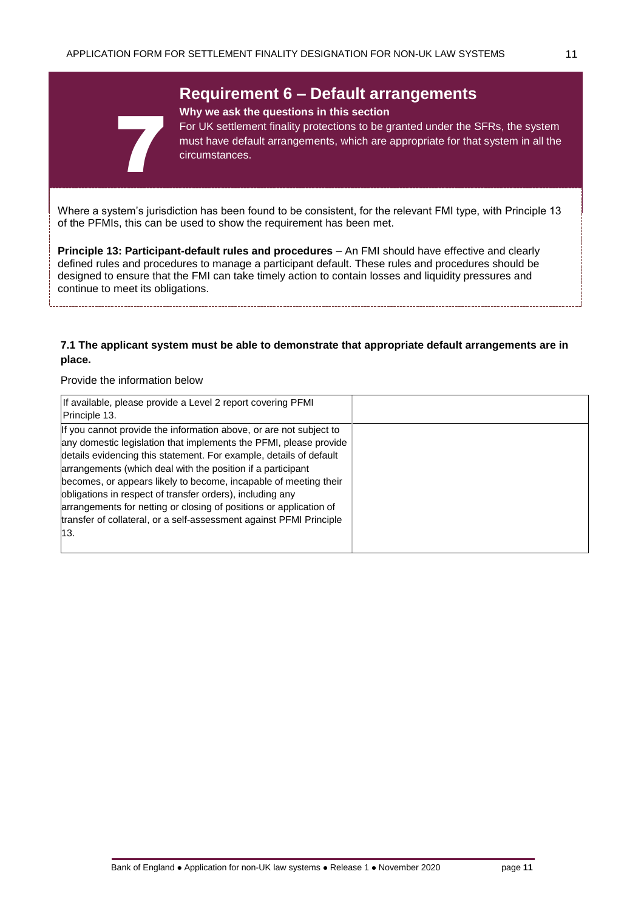# **Requirement 6 – Default arrangements**

#### **Why we ask the questions in this section**

For UK settlement finality protections to be granted under the SFRs, the system must have default arrangements, which are appropriate for that system in all the circumstances.

Where a system's jurisdiction has been found to be consistent, for the relevant FMI type, with Principle 13 of the PFMIs, this can be used to show the requirement has been met.

**Principle 13: Participant-default rules and procedures** – An FMI should have effective and clearly defined rules and procedures to manage a participant default. These rules and procedures should be designed to ensure that the FMI can take timely action to contain losses and liquidity pressures and continue to meet its obligations.

#### **7.1 The applicant system must be able to demonstrate that appropriate default arrangements are in place.**

#### Provide the information below

7

| If available, please provide a Level 2 report covering PFMI<br>Principle 13.                                                                                                                                                                                                                                                                                                                                                                                                                                                                                      |  |
|-------------------------------------------------------------------------------------------------------------------------------------------------------------------------------------------------------------------------------------------------------------------------------------------------------------------------------------------------------------------------------------------------------------------------------------------------------------------------------------------------------------------------------------------------------------------|--|
| If you cannot provide the information above, or are not subject to<br>any domestic legislation that implements the PFMI, please provide<br>details evidencing this statement. For example, details of default<br>arrangements (which deal with the position if a participant<br>becomes, or appears likely to become, incapable of meeting their<br>obligations in respect of transfer orders), including any<br>arrangements for netting or closing of positions or application of<br>transfer of collateral, or a self-assessment against PFMI Principle<br>13. |  |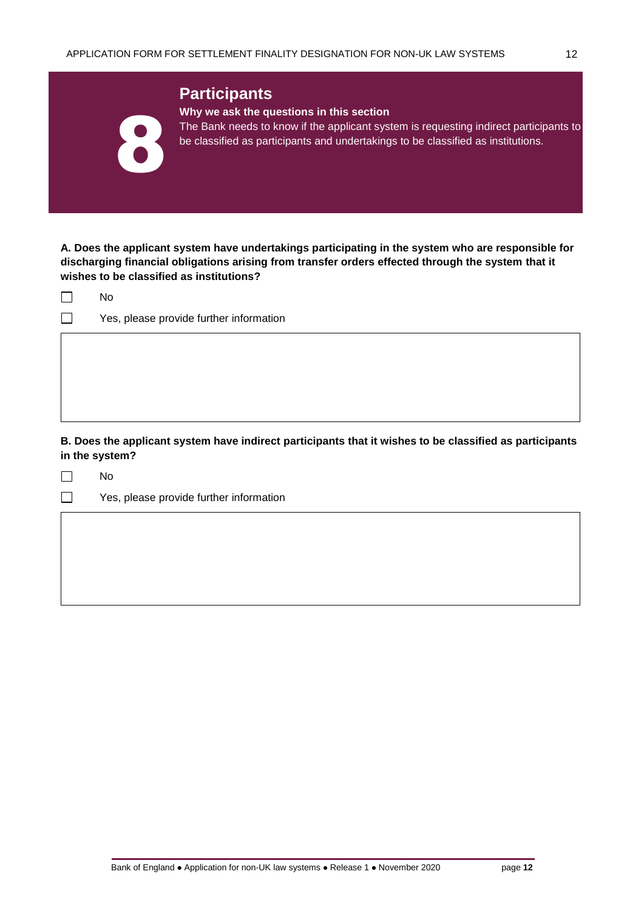|                          | <b>Participants</b><br>Why we ask the questions in this section                                                                                                           |
|--------------------------|---------------------------------------------------------------------------------------------------------------------------------------------------------------------------|
| $\overline{\phantom{a}}$ | The Bank needs to know if the applicant system is requesting indirect participants to<br>be classified as participants and undertakings to be classified as institutions. |
|                          |                                                                                                                                                                           |

**A. Does the applicant system have undertakings participating in the system who are responsible for discharging financial obligations arising from transfer orders effected through the system that it wishes to be classified as institutions?** 

|  | חע |
|--|----|
|  |    |

Yes, please provide further information

# **B. Does the applicant system have indirect participants that it wishes to be classified as participants in the system?**

 $\Box$ No

 $\Box$ 

Yes, please provide further information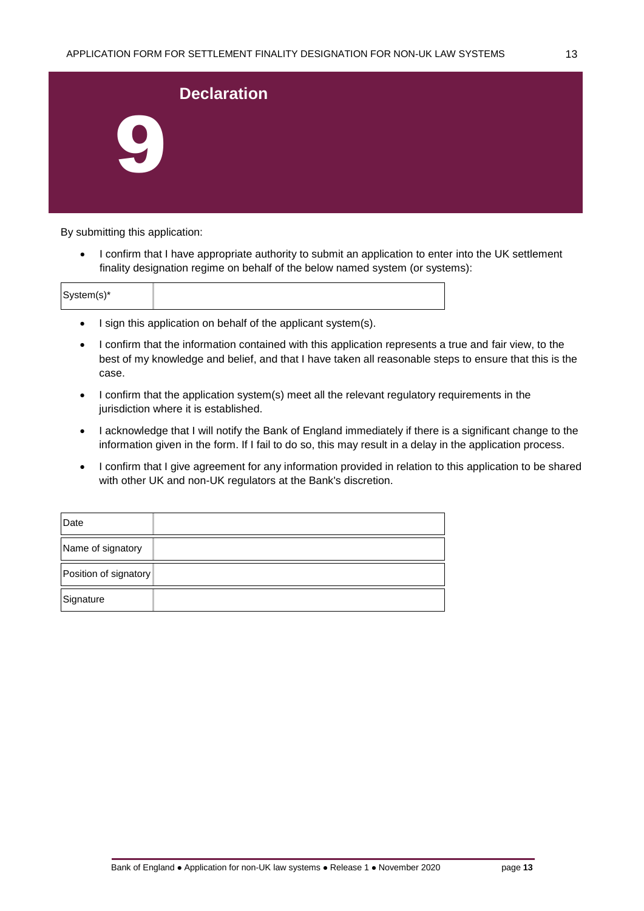| <b>Declaration</b> |  |
|--------------------|--|
| L                  |  |

By submitting this application:

• I confirm that I have appropriate authority to submit an application to enter into the UK settlement finality designation regime on behalf of the below named system (or systems):

|  |  | System(s)* |  |  |
|--|--|------------|--|--|
|--|--|------------|--|--|

- I sign this application on behalf of the applicant system(s).
- I confirm that the information contained with this application represents a true and fair view, to the best of my knowledge and belief, and that I have taken all reasonable steps to ensure that this is the case.
- I confirm that the application system(s) meet all the relevant regulatory requirements in the jurisdiction where it is established.
- I acknowledge that I will notify the Bank of England immediately if there is a significant change to the information given in the form. If I fail to do so, this may result in a delay in the application process.
- I confirm that I give agreement for any information provided in relation to this application to be shared with other UK and non-UK regulators at the Bank's discretion.

| Date                  |  |
|-----------------------|--|
| Name of signatory     |  |
| Position of signatory |  |
| Signature             |  |